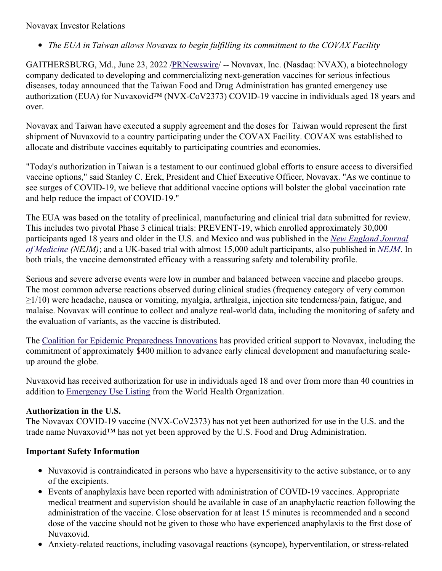## Novavax Investor Relations

*The EUA in Taiwan allows Novavax to begin fulfilling its commitment to the COVAX Facility*

GAITHERSBURG, Md., June 23, 2022 [/PRNewswire](http://www.prnewswire.com/)/ -- Novavax, Inc. (Nasdaq: NVAX), a biotechnology company dedicated to developing and commercializing next-generation vaccines for serious infectious diseases, today announced that the Taiwan Food and Drug Administration has granted emergency use authorization (EUA) for Nuvaxovid<sup>™</sup> (NVX-CoV2373) COVID-19 vaccine in individuals aged 18 years and over.

Novavax and Taiwan have executed a supply agreement and the doses for Taiwan would represent the first shipment of Nuvaxovid to a country participating under the COVAX Facility. COVAX was established to allocate and distribute vaccines equitably to participating countries and economies.

"Today's authorization in Taiwan is a testament to our continued global efforts to ensure access to diversified vaccine options," said Stanley C. Erck, President and Chief Executive Officer, Novavax. "As we continue to see surges of COVID-19, we believe that additional vaccine options will bolster the global vaccination rate and help reduce the impact of COVID-19."

The EUA was based on the totality of preclinical, manufacturing and clinical trial data submitted for review. This includes two pivotal Phase 3 clinical trials: PREVENT-19, which enrolled approximately 30,000 participants aged 18 years and older in the U.S. and Mexico and was published in the *New England Journal of Medicine (NEJM)*; and a UK-based trial with almost 15,000 adult [participants,](https://c212.net/c/link/?t=0&l=en&o=3576748-1&h=3892773939&u=https%3A%2F%2Fc212.net%2Fc%2Flink%2F%3Ft%3D0%26l%3Den%26o%3D3407775-1%26h%3D907997649%26u%3Dhttps%253A%252F%252Fwww.nejm.org%252Fdoi%252Ffull%252F10.1056%252FNEJMoa2116185%253Fquery%253Dfeatured_home%26a%3DNew%2BEngland%2BJournal%2Bof%2BMedicine&a=New+England+Journal+of+Medicine) also published in *[NEJM](https://c212.net/c/link/?t=0&l=en&o=3576748-1&h=819581507&u=https%3A%2F%2Fc212.net%2Fc%2Flink%2F%3Ft%3D0%26l%3Den%26o%3D3407775-1%26h%3D4200925079%26u%3Dhttps%253A%252F%252Fwww.nejm.org%252Fdoi%252Ffull%252F10.1056%252FNEJMoa2107659%26a%3DNEJM&a=NEJM)*. In both trials, the vaccine demonstrated efficacy with a reassuring safety and tolerability profile.

Serious and severe adverse events were low in number and balanced between vaccine and placebo groups. The most common adverse reactions observed during clinical studies (frequency category of very common ≥1/10) were headache, nausea or vomiting, myalgia, arthralgia, injection site tenderness/pain, fatigue, and malaise. Novavax will continue to collect and analyze real-world data, including the monitoring of safety and the evaluation of variants, as the vaccine is distributed.

The Coalition for Epidemic [Preparedness](https://c212.net/c/link/?t=0&l=en&o=3576748-1&h=2175080513&u=https%3A%2F%2Fwww.globenewswire.com%2FTracker%3Fdata%3D-vDbySaKs1wifHmXb2msY7ZaRyE23dX39Pp7u-Wl1LmDpHFFBgGDbRntfxtMfhU3KVyfcyGtCtvy1BMKluT3eidXENcXdrlpIK1c4SC_5FGRYm5PLqi1ypXcXLaQYinB091Q7wSeT_QoFa-96WZ5UM7eUu5rejIjKydDTzl1f8CZLgc8bs374a4kHkxVLHh79yrBm7t77lZ1jR9yjzXf-eLrpAOM53r_enkflPTccKdUsKGSv6F08VPCDvrJNr0vhzLvpkMYYy8b9F1GltC9tPKfob028IVzjnfq9TiCoZIw1F7pZ_AfATlgyXZ_KO5eA-ofOvpmFAEvYEiX1mmq4X1jVNvH61G9RmXYxjUix3VT5xxe0A8DfpSIg5yJx8jXJTupDHnf1d9qMsnLQLEYnplaJeiv9YY6w1q6esf-JbNJBTYUl7CCtW9rD--tQUn2gtDuYoVIdYc6dArQWGkYvGTPWAWA9hcnRInaNtnahOAhKBtZAqFqwyt34dus_g4rB70esC6VEvTrrycGPLXrLgdr6r36VqT_l7z7PQItDAbRr4W_qNjn-qcu8cdJYvGIo89pc_SJzB-RJzPHLOUMLoAiVZuF3_bSJctk1mIBIb4%3D&a=Coalition+for+Epidemic+Preparedness+Innovations) Innovations has provided critical support to Novavax, including the commitment of approximately \$400 million to advance early clinical development and manufacturing scaleup around the globe.

Nuvaxovid has received authorization for use in individuals aged 18 and over from more than 40 countries in addition to [Emergency](https://c212.net/c/link/?t=0&l=en&o=3576748-1&h=328399307&u=https%3A%2F%2Fir.novavax.com%2F2021-12-20-World-Health-Organization-Grants-Second-Emergency-Use-Listing-for-Novavax-COVID-19-Vaccine&a=Emergency+Use+Listing) Use Listing from the World Health Organization.

## **Authorization in the U.S.**

The Novavax COVID-19 vaccine (NVX-CoV2373) has not yet been authorized for use in the U.S. and the trade name Nuvaxovid<sup>™</sup> has not yet been approved by the U.S. Food and Drug Administration.

## **Important Safety Information**

- Nuvaxovid is contraindicated in persons who have a hypersensitivity to the active substance, or to any of the excipients.
- Events of anaphylaxis have been reported with administration of COVID-19 vaccines. Appropriate medical treatment and supervision should be available in case of an anaphylactic reaction following the administration of the vaccine. Close observation for at least 15 minutes is recommended and a second dose of the vaccine should not be given to those who have experienced anaphylaxis to the first dose of Nuvaxovid.
- Anxiety-related reactions, including vasovagal reactions (syncope), hyperventilation, or stress-related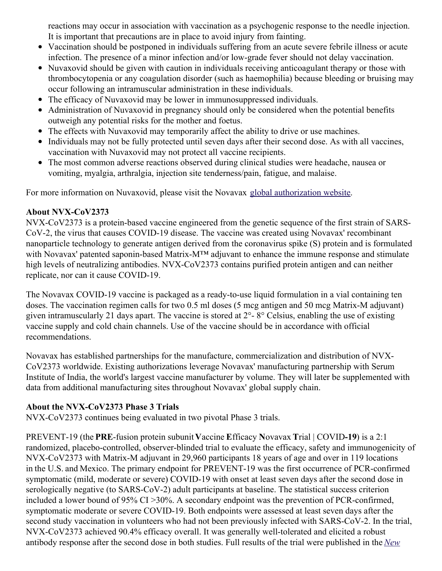reactions may occur in association with vaccination as a psychogenic response to the needle injection. It is important that precautions are in place to avoid injury from fainting.

- Vaccination should be postponed in individuals suffering from an acute severe febrile illness or acute infection. The presence of a minor infection and/or low-grade fever should not delay vaccination.
- Nuvaxovid should be given with caution in individuals receiving anticoagulant therapy or those with thrombocytopenia or any coagulation disorder (such as haemophilia) because bleeding or bruising may occur following an intramuscular administration in these individuals.
- The efficacy of Nuvaxovid may be lower in immunosuppressed individuals.
- Administration of Nuvaxovid in pregnancy should only be considered when the potential benefits outweigh any potential risks for the mother and foetus.
- The effects with Nuvaxovid may temporarily affect the ability to drive or use machines.
- Individuals may not be fully protected until seven days after their second dose. As with all vaccines, vaccination with Nuvaxovid may not protect all vaccine recipients.
- The most common adverse reactions observed during clinical studies were headache, nausea or vomiting, myalgia, arthralgia, injection site tenderness/pain, fatigue, and malaise.

For more information on Nuvaxovid, please visit the Novavax global [authorization](https://c212.net/c/link/?t=0&l=en&o=3576748-1&h=3768575467&u=https%3A%2F%2Fwww.novavaxcovidvaccine.com%2F&a=global+authorization+website) website.

## **About NVX-CoV2373**

NVX-CoV2373 is a protein-based vaccine engineered from the genetic sequence of the first strain of SARS-CoV-2, the virus that causes COVID-19 disease. The vaccine was created using Novavax' recombinant nanoparticle technology to generate antigen derived from the coronavirus spike (S) protein and is formulated with Novavax' patented saponin-based Matrix-M™ adjuvant to enhance the immune response and stimulate high levels of neutralizing antibodies. NVX-CoV2373 contains purified protein antigen and can neither replicate, nor can it cause COVID-19.

The Novavax COVID-19 vaccine is packaged as a ready-to-use liquid formulation in a vial containing ten doses. The vaccination regimen calls for two 0.5 ml doses (5 mcg antigen and 50 mcg Matrix-M adjuvant) given intramuscularly 21 days apart. The vaccine is stored at 2°- 8° Celsius, enabling the use of existing vaccine supply and cold chain channels. Use of the vaccine should be in accordance with official recommendations.

Novavax has established partnerships for the manufacture, commercialization and distribution of NVX-CoV2373 worldwide. Existing authorizations leverage Novavax' manufacturing partnership with Serum Institute of India, the world's largest vaccine manufacturer by volume. They will later be supplemented with data from additional manufacturing sites throughout Novavax' global supply chain.

## **About the NVX-CoV2373 Phase 3 Trials**

NVX-CoV2373 continues being evaluated in two pivotal Phase 3 trials.

PREVENT-19 (the **PRE**-fusion protein subunit **V**accine **E**fficacy **N**ovavax **T**rial | COVID**-19**) is a 2:1 randomized, placebo-controlled, observer-blinded trial to evaluate the efficacy, safety and immunogenicity of NVX-CoV2373 with Matrix-M adjuvant in 29,960 participants 18 years of age and over in 119 locations in the U.S. and Mexico. The primary endpoint for PREVENT-19 was the first occurrence of PCR-confirmed symptomatic (mild, moderate or severe) COVID-19 with onset at least seven days after the second dose in serologically negative (to SARS-CoV-2) adult participants at baseline. The statistical success criterion included a lower bound of 95% CI >30%. A secondary endpoint was the prevention of PCR-confirmed, symptomatic moderate or severe COVID-19. Both endpoints were assessed at least seven days after the second study vaccination in volunteers who had not been previously infected with SARS-CoV-2. In the trial, NVX-CoV2373 achieved 90.4% efficacy overall. It was generally well-tolerated and elicited a robust antibody response after the second dose in both studies. Full results of the trial were [published](https://c212.net/c/link/?t=0&l=en&o=3576748-1&h=2212638157&u=https%3A%2F%2Fc212.net%2Fc%2Flink%2F%3Ft%3D0%26l%3Den%26o%3D3440781-1%26h%3D467849857%26u%3Dhttps%253A%252F%252Fwww.nejm.org%252Fdoi%252Ffull%252F10.1056%252FNEJMoa2116185%253Fquery%253Dfeatured_home%26a%3DNew%2BEngland%2BJournal%2Bof%2BMedicine&a=New+England+Journal+of+Medicine) in the *New*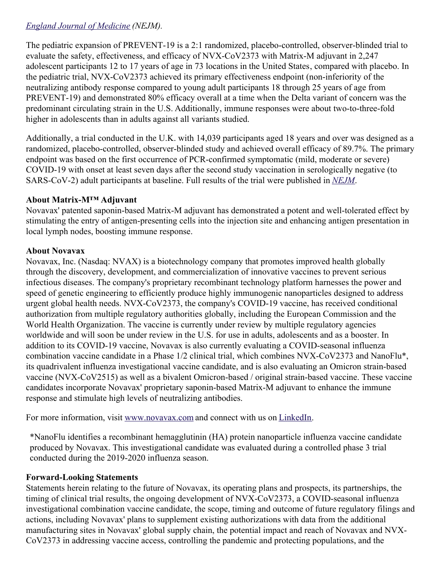# *England Journal of Medicine (NEJM).*

The pediatric expansion of PREVENT-19 is a 2:1 randomized, placebo-controlled, observer-blinded trial to evaluate the safety, effectiveness, and efficacy of NVX-CoV2373 with Matrix-M adjuvant in 2,247 adolescent participants 12 to 17 years of age in 73 locations in the United States, compared with placebo. In the pediatric trial, NVX-CoV2373 achieved its primary effectiveness endpoint (non-inferiority of the neutralizing antibody response compared to young adult participants 18 through 25 years of age from PREVENT-19) and demonstrated 80% efficacy overall at a time when the Delta variant of concern was the predominant circulating strain in the U.S. Additionally, immune responses were about two-to-three-fold higher in adolescents than in adults against all variants studied.

Additionally, a trial conducted in the U.K. with 14,039 participants aged 18 years and over was designed as a randomized, placebo-controlled, observer-blinded study and achieved overall efficacy of 89.7%. The primary endpoint was based on the first occurrence of PCR-confirmed symptomatic (mild, moderate or severe) COVID-19 with onset at least seven days after the second study vaccination in serologically negative (to SARS-CoV-2) adult participants at baseline. Full results of the trial were published in *[NEJM](https://c212.net/c/link/?t=0&l=en&o=3576748-1&h=1617461394&u=https%3A%2F%2Fc212.net%2Fc%2Flink%2F%3Ft%3D0%26l%3Den%26o%3D3440781-1%26h%3D3617137863%26u%3Dhttps%253A%252F%252Fwww.nejm.org%252Fdoi%252Ffull%252F10.1056%252FNEJMoa2107659%26a%3DNEJM&a=NEJM)*.

## **About Matrix-M™ Adjuvant**

Novavax' patented saponin-based Matrix-M adjuvant has demonstrated a potent and well-tolerated effect by stimulating the entry of antigen-presenting cells into the injection site and enhancing antigen presentation in local lymph nodes, boosting immune response.

### **About Novavax**

Novavax, Inc. (Nasdaq: NVAX) is a biotechnology company that promotes improved health globally through the discovery, development, and commercialization of innovative vaccines to prevent serious infectious diseases. The company's proprietary recombinant technology platform harnesses the power and speed of genetic engineering to efficiently produce highly immunogenic nanoparticles designed to address urgent global health needs. NVX-CoV2373, the company's COVID-19 vaccine, has received conditional authorization from multiple regulatory authorities globally, including the European Commission and the World Health Organization. The vaccine is currently under review by multiple regulatory agencies worldwide and will soon be under review in the U.S. for use in adults, adolescents and as a booster. In addition to its COVID-19 vaccine, Novavax is also currently evaluating a COVID-seasonal influenza combination vaccine candidate in a Phase 1/2 clinical trial, which combines NVX-CoV2373 and NanoFlu\*, its quadrivalent influenza investigational vaccine candidate, and is also evaluating an Omicron strain-based vaccine (NVX-CoV2515) as well as a bivalent Omicron-based / original strain-based vaccine. These vaccine candidates incorporate Novavax' proprietary saponin-based Matrix-M adjuvant to enhance the immune response and stimulate high levels of neutralizing antibodies.

For more information, visit [www.novavax.com](https://c212.net/c/link/?t=0&l=en&o=3576748-1&h=2211464641&u=https%3A%2F%2Fc212.net%2Fc%2Flink%2F%3Ft%3D0%26l%3Den%26o%3D3460980-1%26h%3D3623927874%26u%3Dhttps%253A%252F%252Fc212.net%252Fc%252Flink%252F%253Ft%253D0%2526l%253Den%2526o%253D3457869-1%2526h%253D982408174%2526u%253Dhttps%25253A%25252F%25252Fc212.net%25252Fc%25252Flink%25252F%25253Ft%25253D0%252526l%25253Den%252526o%25253D3440781-1%252526h%25253D3964594936%252526u%25253Dhttps%2525253A%2525252F%2525252Fc212.net%2525252Fc%2525252Flink%2525252F%2525253Ft%2525253D0%25252526l%2525253Den%25252526o%2525253D3395501-1%25252526h%2525253D2463599076%25252526u%2525253Dhttps%252525253A%252525252F%252525252Fc212.net%252525252Fc%252525252Flink%252525252F%252525253Ft%252525253D0%2525252526l%252525253Den%2525252526o%252525253D3392093-1%2525252526h%252525253D203886192%2525252526u%252525253Dhttps%25252525253A%25252525252F%25252525252Fc212.net%25252525252Fc%25252525252Flink%25252525252F%25252525253Ft%25252525253D0%252525252526l%25252525253Den%252525252526o%25252525253D3387216-1%252525252526h%25252525253D3917401194%252525252526u%25252525253Dhttps%2525252525253A%2525252525252F%2525252525252Fc212.net%2525252525252Fc%2525252525252Flink%2525252525252F%2525252525253Ft%2525252525253D0%25252525252526l%2525252525253Den%25252525252526o%2525252525253D3260461-1%25252525252526h%2525252525253D2897486098%25252525252526u%2525252525253Dhttp%252525252525253A%252525252525252F%252525252525252Fwww.novavax.com%252525252525252F%25252525252526a%2525252525253Dwww.novavax.com%252525252526a%25252525253Dwww.novavax.com%2525252526a%252525253Dwww.novavax.com%25252526a%2525253Dwww.novavax.com%252526a%25253Dwww.novavax.com%2526a%253Dwww.novavax.com%26a%3Dwww.novavax.com&a=www.novavax.com) and connect with us on [LinkedIn.](https://c212.net/c/link/?t=0&l=en&o=3576748-1&h=2669735600&u=https%3A%2F%2Fc212.net%2Fc%2Flink%2F%3Ft%3D0%26l%3Den%26o%3D3460980-1%26h%3D91088807%26u%3Dhttps%253A%252F%252Fc212.net%252Fc%252Flink%252F%253Ft%253D0%2526l%253Den%2526o%253D3457869-1%2526h%253D1725473980%2526u%253Dhttps%25253A%25252F%25252Fc212.net%25252Fc%25252Flink%25252F%25253Ft%25253D0%252526l%25253Den%252526o%25253D3440781-1%252526h%25253D2733326919%252526u%25253Dhttps%2525253A%2525252F%2525252Fc212.net%2525252Fc%2525252Flink%2525252F%2525253Ft%2525253D0%25252526l%2525253Den%25252526o%2525253D3395501-1%25252526h%2525253D853375093%25252526u%2525253Dhttps%252525253A%252525252F%252525252Fc212.net%252525252Fc%252525252Flink%252525252F%252525253Ft%252525253D0%2525252526l%252525253Den%2525252526o%252525253D3392093-1%2525252526h%252525253D1325598136%2525252526u%252525253Dhttps%25252525253A%25252525252F%25252525252Fc212.net%25252525252Fc%25252525252Flink%25252525252F%25252525253Ft%25252525253D0%252525252526l%25252525253Den%252525252526o%25252525253D3387216-1%252525252526h%25252525253D2935962557%252525252526u%25252525253Dhttps%2525252525253A%2525252525252F%2525252525252Fc212.net%2525252525252Fc%2525252525252Flink%2525252525252F%2525252525253Ft%2525252525253D0%25252525252526l%2525252525253Den%25252525252526o%2525252525253D3260461-1%25252525252526h%2525252525253D1508558197%25252525252526u%2525252525253Dhttps%252525252525253A%252525252525252F%252525252525252Fc212.net%252525252525252Fc%252525252525252Flink%252525252525252F%252525252525253Ft%252525252525253D0%2525252525252526l%252525252525253Den%2525252525252526o%252525252525253D3158017-1%2525252525252526h%252525252525253D3702938248%2525252525252526u%252525252525253Dhttps%25252525252525253A%25252525252525252F%25252525252525252Fwww.linkedin.com%25252525252525252Fcompany%25252525252525252Fnovavax%25252525252525252F%2525252525252526a%252525252525253DLinkedIn%25252525252526a%2525252525253DLinkedIn%252525252526a%25252525253DLinkedIn%2525252526a%252525253DLinkedIn%25252526a%2525253DLinkedIn%252526a%25253DLinkedIn%2526a%253DLinkedIn%26a%3DLinkedIn&a=LinkedIn)

\*NanoFlu identifies a recombinant hemagglutinin (HA) protein nanoparticle influenza vaccine candidate produced by Novavax. This investigational candidate was evaluated during a controlled phase 3 trial conducted during the 2019-2020 influenza season.

## **Forward-Looking Statements**

Statements herein relating to the future of Novavax, its operating plans and prospects, its partnerships, the timing of clinical trial results, the ongoing development of NVX-CoV2373, a COVID-seasonal influenza investigational combination vaccine candidate, the scope, timing and outcome of future regulatory filings and actions, including Novavax' plans to supplement existing authorizations with data from the additional manufacturing sites in Novavax' global supply chain, the potential impact and reach of Novavax and NVX-CoV2373 in addressing vaccine access, controlling the pandemic and protecting populations, and the